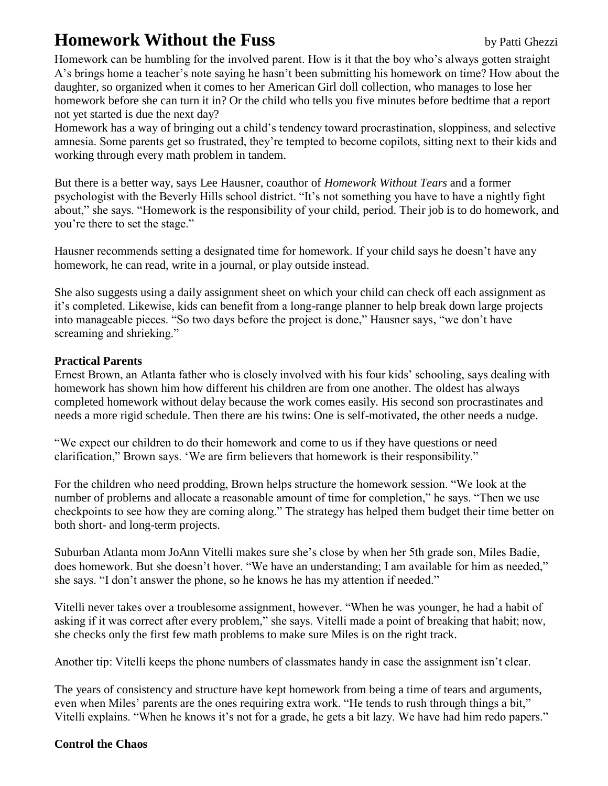## **Homework Without the Fuss** by Patti Ghezzi

Homework can be humbling for the involved parent. How is it that the boy who"s always gotten straight A"s brings home a teacher"s note saying he hasn"t been submitting his homework on time? How about the daughter, so organized when it comes to her American Girl doll collection, who manages to lose her homework before she can turn it in? Or the child who tells you five minutes before bedtime that a report not yet started is due the next day?

Homework has a way of bringing out a child"s tendency toward procrastination, sloppiness, and selective amnesia. Some parents get so frustrated, they"re tempted to become copilots, sitting next to their kids and working through every math problem in tandem.

But there is a better way, says Lee Hausner, coauthor of *Homework Without Tears* and a former psychologist with the Beverly Hills school district. "It"s not something you have to have a nightly fight about," she says. "Homework is the responsibility of your child, period. Their job is to do homework, and you"re there to set the stage."

Hausner recommends setting a designated time for homework. If your child says he doesn"t have any homework, he can read, write in a journal, or play outside instead.

She also suggests using a daily assignment sheet on which your child can check off each assignment as it"s completed. Likewise, kids can benefit from a long-range planner to help break down large projects into manageable pieces. "So two days before the project is done," Hausner says, "we don"t have screaming and shrieking."

## **Practical Parents**

Ernest Brown, an Atlanta father who is closely involved with his four kids" schooling, says dealing with homework has shown him how different his children are from one another. The oldest has always completed homework without delay because the work comes easily. His second son procrastinates and needs a more rigid schedule. Then there are his twins: One is self-motivated, the other needs a nudge.

"We expect our children to do their homework and come to us if they have questions or need clarification," Brown says. "We are firm believers that homework is their responsibility."

For the children who need prodding, Brown helps structure the homework session. "We look at the number of problems and allocate a reasonable amount of time for completion," he says. "Then we use checkpoints to see how they are coming along." The strategy has helped them budget their time better on both short- and long-term projects.

Suburban Atlanta mom JoAnn Vitelli makes sure she"s close by when her 5th grade son, Miles Badie, does homework. But she doesn't hover. "We have an understanding; I am available for him as needed," she says. "I don"t answer the phone, so he knows he has my attention if needed."

Vitelli never takes over a troublesome assignment, however. "When he was younger, he had a habit of asking if it was correct after every problem," she says. Vitelli made a point of breaking that habit; now, she checks only the first few math problems to make sure Miles is on the right track.

Another tip: Vitelli keeps the phone numbers of classmates handy in case the assignment isn't clear.

The years of consistency and structure have kept homework from being a time of tears and arguments, even when Miles' parents are the ones requiring extra work. "He tends to rush through things a bit," Vitelli explains. "When he knows it's not for a grade, he gets a bit lazy. We have had him redo papers."

## **Control the Chaos**